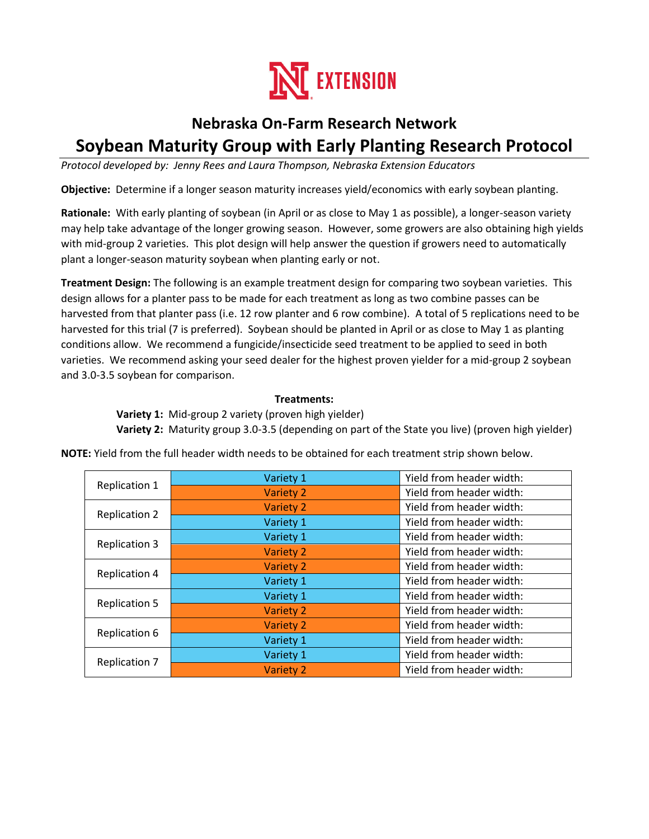

# **Nebraska On-Farm Research Network Soybean Maturity Group with Early Planting Research Protocol**

*Protocol developed by: Jenny Rees and Laura Thompson, Nebraska Extension Educators*

**Objective:** Determine if a longer season maturity increases yield/economics with early soybean planting.

**Rationale:** With early planting of soybean (in April or as close to May 1 as possible), a longer-season variety may help take advantage of the longer growing season. However, some growers are also obtaining high yields with mid-group 2 varieties. This plot design will help answer the question if growers need to automatically plant a longer-season maturity soybean when planting early or not.

**Treatment Design:** The following is an example treatment design for comparing two soybean varieties. This design allows for a planter pass to be made for each treatment as long as two combine passes can be harvested from that planter pass (i.e. 12 row planter and 6 row combine). A total of 5 replications need to be harvested for this trial (7 is preferred). Soybean should be planted in April or as close to May 1 as planting conditions allow. We recommend a fungicide/insecticide seed treatment to be applied to seed in both varieties. We recommend asking your seed dealer for the highest proven yielder for a mid-group 2 soybean and 3.0-3.5 soybean for comparison.

### **Treatments:**

 **Variety 1:** Mid-group 2 variety (proven high yielder)

 **Variety 2:** Maturity group 3.0-3.5 (depending on part of the State you live) (proven high yielder)

| Replication 1        | Variety 1        | Yield from header width: |
|----------------------|------------------|--------------------------|
|                      | <b>Variety 2</b> | Yield from header width: |
| <b>Replication 2</b> | Variety 2        | Yield from header width: |
|                      | Variety 1        | Yield from header width: |
| <b>Replication 3</b> | Variety 1        | Yield from header width: |
|                      | Variety 2        | Yield from header width: |
| <b>Replication 4</b> | Variety 2        | Yield from header width: |
|                      | Variety 1        | Yield from header width: |
| <b>Replication 5</b> | Variety 1        | Yield from header width: |
|                      | Variety 2        | Yield from header width: |
| <b>Replication 6</b> | <b>Variety 2</b> | Yield from header width: |
|                      | Variety 1        | Yield from header width: |
| <b>Replication 7</b> | Variety 1        | Yield from header width: |
|                      | Variety 2        | Yield from header width: |

**NOTE:** Yield from the full header width needs to be obtained for each treatment strip shown below.